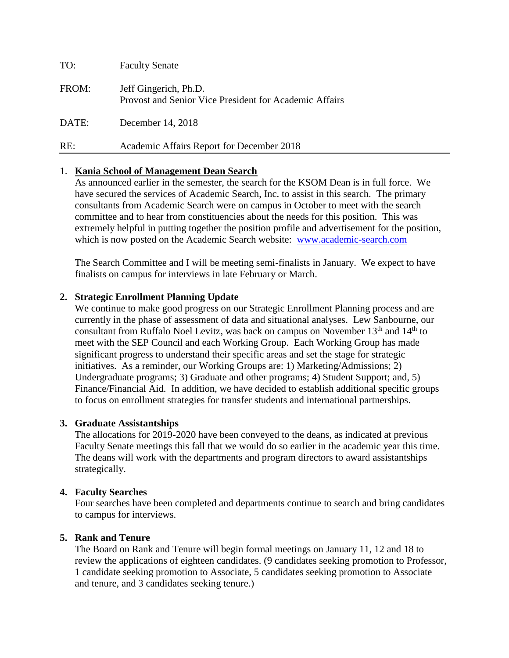| TO:   | <b>Faculty Senate</b>                                                           |
|-------|---------------------------------------------------------------------------------|
| FROM: | Jeff Gingerich, Ph.D.<br>Provost and Senior Vice President for Academic Affairs |
| DATE: | December 14, 2018                                                               |
| RE:   | Academic Affairs Report for December 2018                                       |

# 1. **Kania School of Management Dean Search**

As announced earlier in the semester, the search for the KSOM Dean is in full force. We have secured the services of Academic Search, Inc. to assist in this search. The primary consultants from Academic Search were on campus in October to meet with the search committee and to hear from constituencies about the needs for this position. This was extremely helpful in putting together the position profile and advertisement for the position, which is now posted on the Academic Search website: [www.academic-search.com](http://www.academic-search.com/)

The Search Committee and I will be meeting semi-finalists in January. We expect to have finalists on campus for interviews in late February or March.

# **2. Strategic Enrollment Planning Update**

We continue to make good progress on our Strategic Enrollment Planning process and are currently in the phase of assessment of data and situational analyses. Lew Sanbourne, our consultant from Ruffalo Noel Levitz, was back on campus on November  $13<sup>th</sup>$  and  $14<sup>th</sup>$  to meet with the SEP Council and each Working Group. Each Working Group has made significant progress to understand their specific areas and set the stage for strategic initiatives. As a reminder, our Working Groups are: 1) Marketing/Admissions; 2) Undergraduate programs; 3) Graduate and other programs; 4) Student Support; and, 5) Finance/Financial Aid. In addition, we have decided to establish additional specific groups to focus on enrollment strategies for transfer students and international partnerships.

# **3. Graduate Assistantships**

The allocations for 2019-2020 have been conveyed to the deans, as indicated at previous Faculty Senate meetings this fall that we would do so earlier in the academic year this time. The deans will work with the departments and program directors to award assistantships strategically.

# **4. Faculty Searches**

Four searches have been completed and departments continue to search and bring candidates to campus for interviews.

# **5. Rank and Tenure**

The Board on Rank and Tenure will begin formal meetings on January 11, 12 and 18 to review the applications of eighteen candidates. (9 candidates seeking promotion to Professor, 1 candidate seeking promotion to Associate, 5 candidates seeking promotion to Associate and tenure, and 3 candidates seeking tenure.)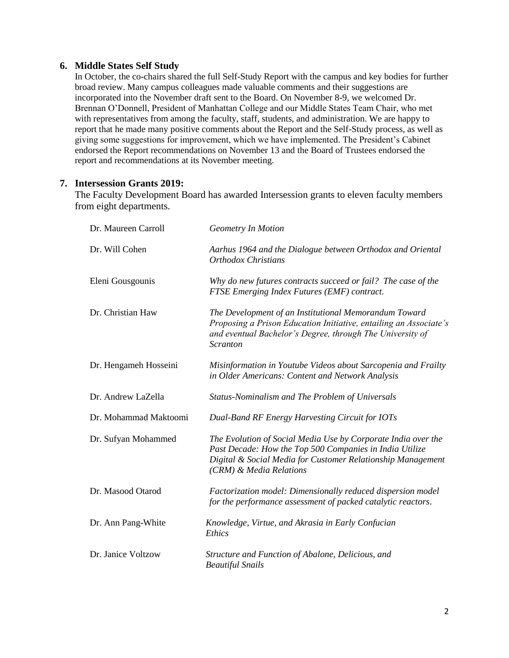# **6. Middle States Self Study**

In October, the co-chairs shared the full Self-Study Report with the campus and key bodies for further broad review. Many campus colleagues made valuable comments and their suggestions are incorporated into the November draft sent to the Board. On November 8-9, we welcomed Dr. Brennan O'Donnell, President of Manhattan College and our Middle States Team Chair, who met with representatives from among the faculty, staff, students, and administration. We are happy to report that he made many positive comments about the Report and the Self-Study process, as well as giving some suggestions for improvement, which we have implemented. The President's Cabinet endorsed the Report recommendations on November 13 and the Board of Trustees endorsed the report and recommendations at its November meeting.

# **7. Intersession Grants 2019:**

The Faculty Development Board has awarded Intersession grants to eleven faculty members from eight departments.

| Dr. Maureen Carroll   | <b>Geometry In Motion</b>                                                                                                                                                                                          |
|-----------------------|--------------------------------------------------------------------------------------------------------------------------------------------------------------------------------------------------------------------|
| Dr. Will Cohen        | Aarhus 1964 and the Dialogue between Orthodox and Oriental<br><b>Orthodox Christians</b>                                                                                                                           |
| Eleni Gousgounis      | Why do new futures contracts succeed or fail? The case of the<br>FTSE Emerging Index Futures (EMF) contract.                                                                                                       |
| Dr. Christian Haw     | The Development of an Institutional Memorandum Toward<br>Proposing a Prison Education Initiative, entailing an Associate's<br>and eventual Bachelor's Degree, through The University of<br><b>Scranton</b>         |
| Dr. Hengameh Hosseini | Misinformation in Youtube Videos about Sarcopenia and Frailty<br>in Older Americans: Content and Network Analysis                                                                                                  |
| Dr. Andrew LaZella    | Status-Nominalism and The Problem of Universals                                                                                                                                                                    |
| Dr. Mohammad Maktoomi | Dual-Band RF Energy Harvesting Circuit for IOTs                                                                                                                                                                    |
| Dr. Sufyan Mohammed   | The Evolution of Social Media Use by Corporate India over the<br>Past Decade: How the Top 500 Companies in India Utilize<br>Digital & Social Media for Customer Relationship Management<br>(CRM) & Media Relations |
| Dr. Masood Otarod     | Factorization model: Dimensionally reduced dispersion model<br>for the performance assessment of packed catalytic reactors.                                                                                        |
| Dr. Ann Pang-White    | Knowledge, Virtue, and Akrasia in Early Confucian<br>Ethics                                                                                                                                                        |
| Dr. Janice Voltzow    | Structure and Function of Abalone, Delicious, and<br><b>Beautiful Snails</b>                                                                                                                                       |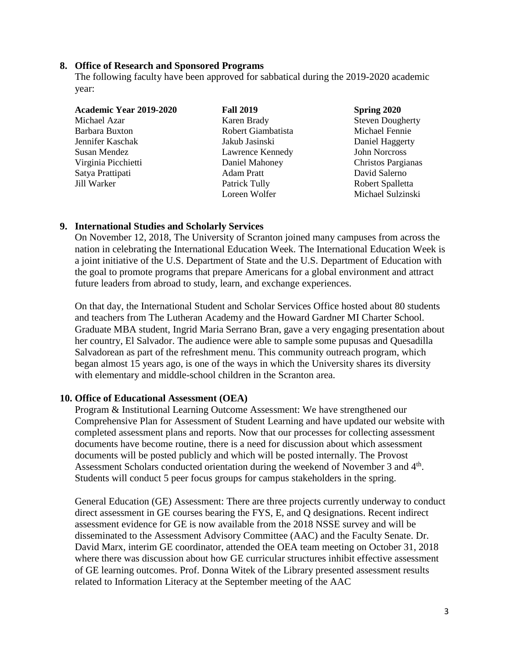#### **8. Office of Research and Sponsored Programs**

The following faculty have been approved for sabbatical during the 2019-2020 academic year:

| Academic Year 2019-2020 | <b>Fall 2019</b>   | <b>Spring 2020</b>      |
|-------------------------|--------------------|-------------------------|
| Michael Azar            | Karen Brady        | <b>Steven Dougherty</b> |
| Barbara Buxton          | Robert Giambatista | Michael Fennie          |
| Jennifer Kaschak        | Jakub Jasinski     | Daniel Haggerty         |
| Susan Mendez            | Lawrence Kennedy   | <b>John Norcross</b>    |
| Virginia Picchietti     | Daniel Mahoney     | Christos Pargianas      |
| Satya Prattipati        | <b>Adam Pratt</b>  | David Salerno           |
| Jill Warker             | Patrick Tully      | Robert Spalletta        |
|                         | Loreen Wolfer      | Michael Sulzinski       |

# **9. International Studies and Scholarly Services**

On November 12, 2018, The University of Scranton joined many campuses from across the nation in celebrating the International Education Week. The International Education Week is a joint initiative of the U.S. Department of State and the U.S. Department of Education with the goal to promote programs that prepare Americans for a global environment and attract future leaders from abroad to study, learn, and exchange experiences.

On that day, the International Student and Scholar Services Office hosted about 80 students and teachers from The Lutheran Academy and the Howard Gardner MI Charter School. Graduate MBA student, Ingrid Maria Serrano Bran, gave a very engaging presentation about her country, El Salvador. The audience were able to sample some pupusas and Quesadilla Salvadorean as part of the refreshment menu. This community outreach program, which began almost 15 years ago, is one of the ways in which the University shares its diversity with elementary and middle-school children in the Scranton area.

# **10. Office of Educational Assessment (OEA)**

Program & Institutional Learning Outcome Assessment: We have strengthened our Comprehensive Plan for Assessment of Student Learning and have updated our website with completed assessment plans and reports. Now that our processes for collecting assessment documents have become routine, there is a need for discussion about which assessment documents will be posted publicly and which will be posted internally. The Provost Assessment Scholars conducted orientation during the weekend of November 3 and 4<sup>th</sup>. Students will conduct 5 peer focus groups for campus stakeholders in the spring.

General Education (GE) Assessment: There are three projects currently underway to conduct direct assessment in GE courses bearing the FYS, E, and Q designations. Recent indirect assessment evidence for GE is now available from the 2018 NSSE survey and will be disseminated to the Assessment Advisory Committee (AAC) and the Faculty Senate. Dr. David Marx, interim GE coordinator, attended the OEA team meeting on October 31, 2018 where there was discussion about how GE curricular structures inhibit effective assessment of GE learning outcomes. Prof. Donna Witek of the Library presented assessment results related to Information Literacy at the September meeting of the AAC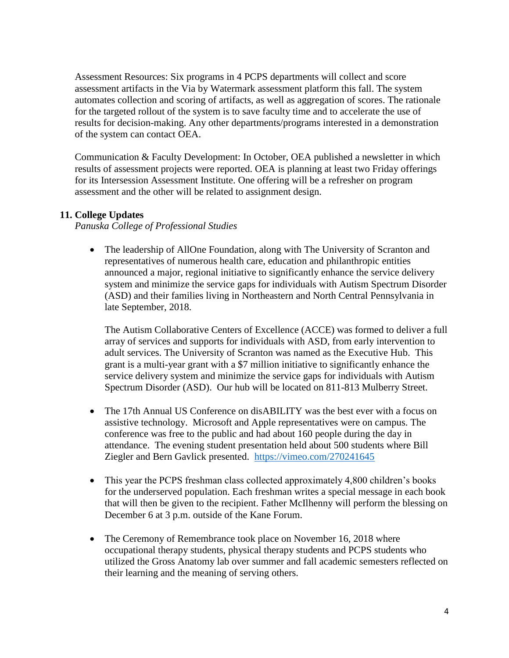Assessment Resources: Six programs in 4 PCPS departments will collect and score assessment artifacts in the Via by Watermark assessment platform this fall. The system automates collection and scoring of artifacts, as well as aggregation of scores. The rationale for the targeted rollout of the system is to save faculty time and to accelerate the use of results for decision-making. Any other departments/programs interested in a demonstration of the system can contact OEA.

Communication & Faculty Development: In October, OEA published a newsletter in which results of assessment projects were reported. OEA is planning at least two Friday offerings for its Intersession Assessment Institute. One offering will be a refresher on program assessment and the other will be related to assignment design.

# **11. College Updates**

*Panuska College of Professional Studies*

• The leadership of AllOne Foundation, along with The University of Scranton and representatives of numerous health care, education and philanthropic entities announced a major, regional initiative to significantly enhance the service delivery system and minimize the service gaps for individuals with Autism Spectrum Disorder (ASD) and their families living in Northeastern and North Central Pennsylvania in late September, 2018.

The Autism Collaborative Centers of Excellence (ACCE) was formed to deliver a full array of services and supports for individuals with ASD, from early intervention to adult services. The University of Scranton was named as the Executive Hub. This grant is a multi-year grant with a \$7 million initiative to significantly enhance the service delivery system and minimize the service gaps for individuals with Autism Spectrum Disorder (ASD). Our hub will be located on 811-813 Mulberry Street.

- The 17th Annual US Conference on disABILITY was the best ever with a focus on assistive technology. Microsoft and Apple representatives were on campus. The conference was free to the public and had about 160 people during the day in attendance. The evening student presentation held about 500 students where Bill Ziegler and Bern Gavlick presented. <https://vimeo.com/270241645>
- This year the PCPS freshman class collected approximately 4,800 children's books for the underserved population. Each freshman writes a special message in each book that will then be given to the recipient. Father McIlhenny will perform the blessing on December 6 at 3 p.m. outside of the Kane Forum.
- The Ceremony of Remembrance took place on November 16, 2018 where occupational therapy students, physical therapy students and PCPS students who utilized the Gross Anatomy lab over summer and fall academic semesters reflected on their learning and the meaning of serving others.